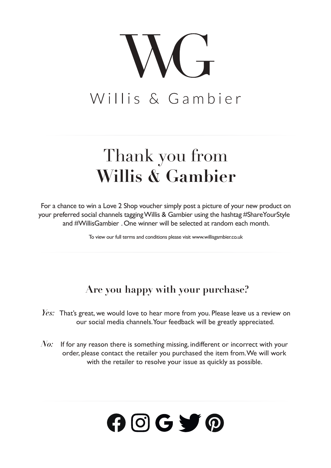

### Thank you from **Willis & Gambier**

For a chance to win a Love 2 Shop voucher simply post a picture of your new product on your preferred social channels taggingWillis & Gambier using the hashtag #ShareYourStyle and #WillisGambier . One winner will be selected at random each month.

To view our full terms and conditions please visit www.willisgambier.co.uk

#### **Are you happy with your purchase?**

- *Yes:* That's great, we would love to hear more from you. Please leave us a review on our social media channels.Your feedback will be greatly appreciated.
- *No*: If for any reason there is something missing, indifferent or incorrect with your order, please contact the retailer you purchased the item from.We will work with the retailer to resolve your issue as quickly as possible.

# $O$   $O$   $G$   $\bigtriangledown$   $O$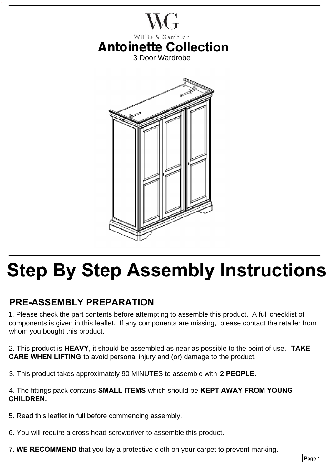



## **Step By Step Assembly Instructions**

#### **PRE-ASSEMBLY PREPARATION**

1. Please check the part contents before attempting to assemble this product. A full checklist of components is given in this leaflet. If any components are missing, please contact the retailer from whom you bought this product.

2. This product is **HEAVY**, it should be assembled as near as possible to the point of use. **TAKE CARE WHEN LIFTING** to avoid personal injury and (or) damage to the product.

3. This product takes approximately 90 MINUTES to assemble with **2 PEOPLE**.

4. The fittings pack contains **SMALL ITEMS** which should be **KEPT AWAY FROM YOUNG CHILDREN.**

- 5. Read this leaflet in full before commencing assembly.
- 6. You will require a cross head screwdriver to assemble this product.
- 7. **WE RECOMMEND** that you lay a protective cloth on your carpet to prevent marking.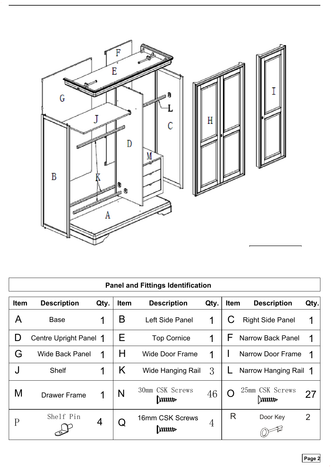

| <b>Panel and Fittings Identification</b> |                        |      |                   |                                   |      |             |                                   |      |
|------------------------------------------|------------------------|------|-------------------|-----------------------------------|------|-------------|-----------------------------------|------|
| <b>Item</b>                              | <b>Description</b>     | Qty. | <b>Item</b>       | <b>Description</b>                | Qty. | <b>Item</b> | <b>Description</b>                | Qty. |
| Α                                        | <b>Base</b>            | 1    | Β                 | Left Side Panel                   | 1    |             | <b>Right Side Panel</b>           | 1    |
| D                                        | Centre Upright Panel 1 |      | Е                 | <b>Top Cornice</b>                | 1    | F           | <b>Narrow Back Panel</b>          | 1    |
| G                                        | <b>Wide Back Panel</b> | 1    | H                 | <b>Wide Door Frame</b>            | 1    |             | <b>Narrow Door Frame</b>          | 1    |
|                                          | <b>Shelf</b>           | 1    | K                 | <b>Wide Hanging Rail</b>          | 3    |             | Narrow Hanging Rail 1             |      |
| M                                        | <b>Drawer Frame</b>    | 1    | N                 | 30mm CSK Screws<br>$\parallel$ mm | 46   |             | 25mm CSK Screws<br>$\parallel$ mm | 27   |
| P                                        | Shelf Pin              | 4    | $\bm{\mathsf{Q}}$ | 16mm CSK Screws<br>$\ $ mm        | 4    | R           | Door Key                          | 2    |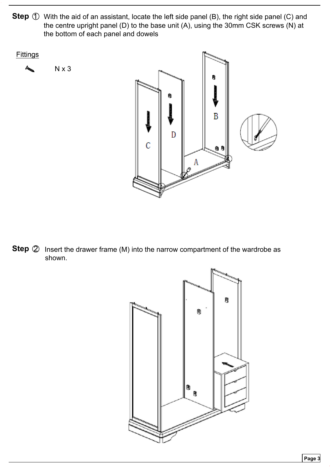

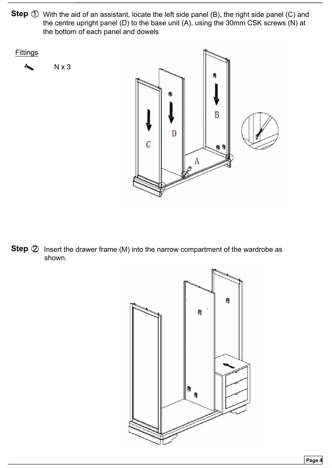

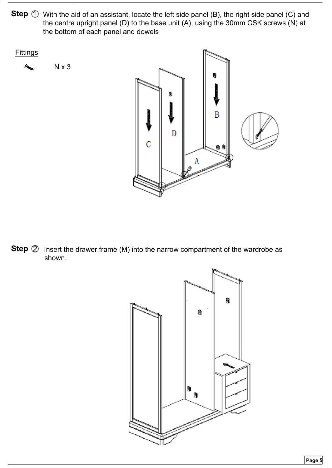

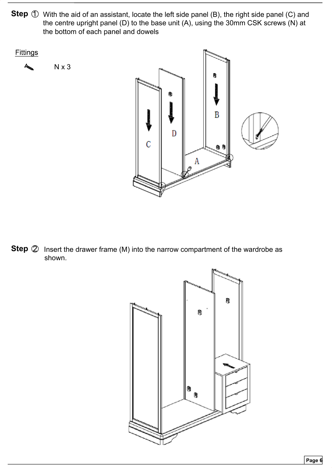

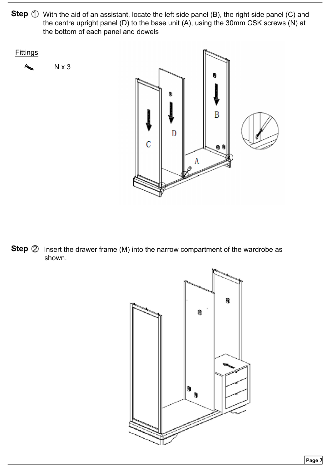

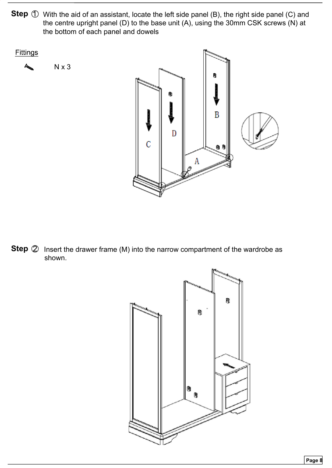

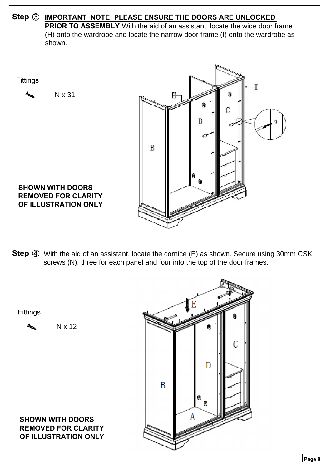**Step 3 IMPORTANT NOTE: PLEASE ENSURE THE DOORS ARE UNLOCKED PRIOR TO ASSEMBLY** With the aid of an assistant, locate the wide door frame (H) onto the wardrobe and locate the narrow door frame (I) onto the wardrobe as shown.



**Step** 4 With the aid of an assistant, locate the cornice (E) as shown. Secure using 30mm CSK screws (N), three for each panel and four into the top of the door frames.

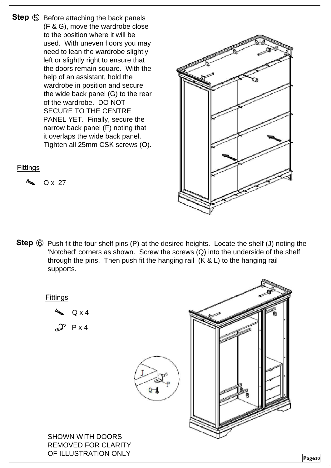**Step**  $\bigcirc$  Before attaching the back panels (F & G), move the wardrobe close to the position where it will be used. With uneven floors you may need to lean the wardrobe slightly left or slightly right to ensure that the doors remain square. With the help of an assistant, hold the wardrobe in position and secure the wide back panel (G) to the rear of the wardrobe. DO NOT SECURE TO THE CENTRE PANEL YET. Finally, secure the narrow back panel (F) noting that it overlaps the wide back panel. Tighten all 25mm CSK screws (O).



**Page**10

**Fittings** 

O x 27

**Step**  $\bigcirc$  Push fit the four shelf pins (P) at the desired heights. Locate the shelf (J) noting the 'Notched' corners as shown. Screw the screws (Q) into the underside of the shelf through the pins. Then push fit the hanging rail (K & L) to the hanging rail supports.

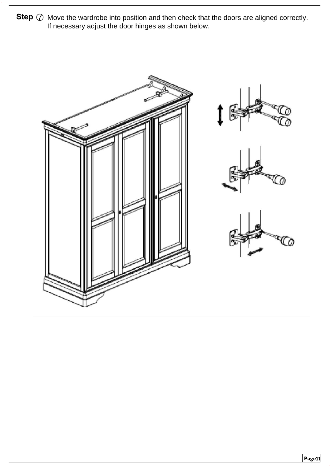**Step**  $\oslash$  Move the wardrobe into position and then check that the doors are aligned correctly. If necessary adjust the door hinges as shown below.